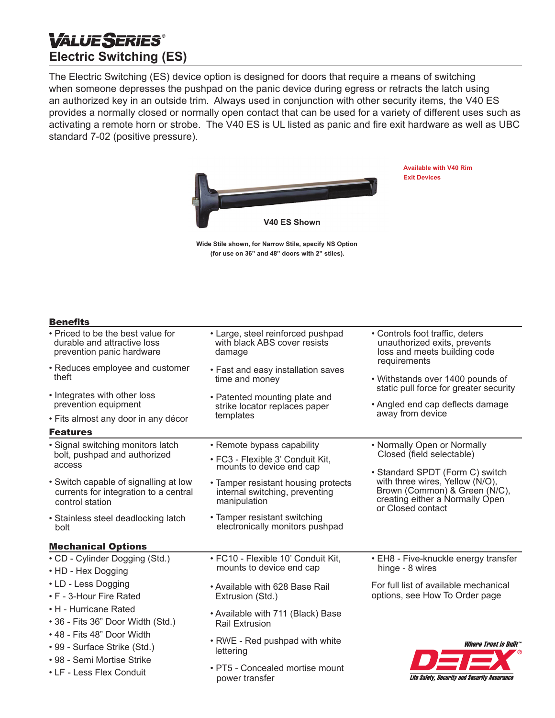# **VALUESERIES® Electric Switching (ES)**

The Electric Switching (ES) device option is designed for doors that require a means of switching when someone depresses the pushpad on the panic device during egress or retracts the latch using an authorized key in an outside trim. Always used in conjunction with other security items, the V40 ES provides a normally closed or normally open contact that can be used for a variety of different uses such as activating a remote horn or strobe. The V40 ES is UL listed as panic and fire exit hardware as well as UBC standard 7-02 (positive pressure).



**Available with V40 Rim** 

**Exit Devices**

**Wide Stile shown, for Narrow Stile, specify NS Option (for use on 36" and 48" doors with 2" stiles).**

# **Benefits**

| • Priced to be the best value for<br>durable and attractive loss<br>prevention panic hardware                                                                                      | • Large, steel reinforced pushpad<br>with black ABS cover resists<br>damage           | • Controls foot traffic, deters<br>unauthorized exits, prevents<br>loss and meets building code<br>requirements          |
|------------------------------------------------------------------------------------------------------------------------------------------------------------------------------------|---------------------------------------------------------------------------------------|--------------------------------------------------------------------------------------------------------------------------|
| • Reduces employee and customer<br>theft                                                                                                                                           | • Fast and easy installation saves<br>time and money                                  | • Withstands over 1400 pounds of<br>static pull force for greater security                                               |
| • Integrates with other loss<br>prevention equipment                                                                                                                               | • Patented mounting plate and<br>strike locator replaces paper<br>templates           | • Angled end cap deflects damage<br>away from device                                                                     |
| • Fits almost any door in any décor                                                                                                                                                |                                                                                       |                                                                                                                          |
| <b>Features</b>                                                                                                                                                                    |                                                                                       |                                                                                                                          |
| • Signal switching monitors latch<br>bolt, pushpad and authorized<br>access                                                                                                        | • Remote bypass capability                                                            | • Normally Open or Normally<br>Closed (field selectable)                                                                 |
|                                                                                                                                                                                    | • FC3 - Flexible 3' Conduit Kit,<br>mounts to device end cap                          |                                                                                                                          |
|                                                                                                                                                                                    |                                                                                       | • Standard SPDT (Form C) switch                                                                                          |
| • Switch capable of signalling at low<br>currents for integration to a central<br>control station                                                                                  | • Tamper resistant housing protects<br>internal switching, preventing<br>manipulation | with three wires, Yellow (N/O),<br>Brown (Common) & Green (N/C),<br>creating either a Normally Open<br>or Closed contact |
| • Stainless steel deadlocking latch<br>bolt                                                                                                                                        | • Tamper resistant switching<br>electronically monitors pushpad                       |                                                                                                                          |
| <b>Mechanical Options</b>                                                                                                                                                          |                                                                                       |                                                                                                                          |
| • CD - Cylinder Dogging (Std.)<br>• HD - Hex Dogging                                                                                                                               | · FC10 - Flexible 10' Conduit Kit,<br>mounts to device end cap                        | • EH8 - Five-knuckle energy transfer<br>hinge - 8 wires                                                                  |
| • LD - Less Dogging<br>• F - 3-Hour Fire Rated                                                                                                                                     | • Available with 628 Base Rail<br>Extrusion (Std.)                                    | For full list of available mechanical<br>options, see How To Order page                                                  |
| • H - Hurricane Rated<br>• 36 - Fits 36" Door Width (Std.)<br>• 48 - Fits 48" Door Width<br>• 99 - Surface Strike (Std.)<br>• 98 - Semi Mortise Strike<br>• LF - Less Flex Conduit | • Available with 711 (Black) Base<br><b>Rail Extrusion</b>                            |                                                                                                                          |
|                                                                                                                                                                                    | • RWE - Red pushpad with white<br>lettering                                           | <i><b>Where Trust is Built"</b></i>                                                                                      |
|                                                                                                                                                                                    | • PT5 - Concealed mortise mount<br>power transfer                                     | Life Safety, Security and Security Assurance                                                                             |